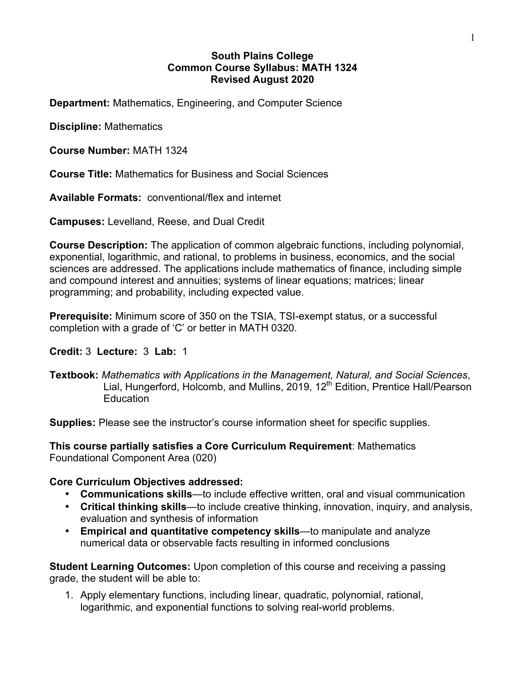#### **South Plains College Common Course Syllabus: MATH 1324 Revised August 2020**

**Department:** Mathematics, Engineering, and Computer Science

**Discipline:** Mathematics

**Course Number:** MATH 1324

**Course Title:** Mathematics for Business and Social Sciences

**Available Formats:** conventional/flex and internet

**Campuses:** Levelland, Reese, and Dual Credit

**Course Description:** The application of common algebraic functions, including polynomial, exponential, logarithmic, and rational, to problems in business, economics, and the social sciences are addressed. The applications include mathematics of finance, including simple and compound interest and annuities; systems of linear equations; matrices; linear programming; and probability, including expected value.

**Prerequisite:** Minimum score of 350 on the TSIA, TSI-exempt status, or a successful completion with a grade of 'C' or better in MATH 0320.

## **Credit:** 3 **Lecture:** 3 **Lab:** 1

**Textbook:** *Mathematics with Applications in the Management, Natural, and Social Sciences*, Lial, Hungerford, Holcomb, and Mullins, 2019, 12<sup>th</sup> Edition, Prentice Hall/Pearson **Education** 

**Supplies:** Please see the instructor's course information sheet for specific supplies.

**This course partially satisfies a Core Curriculum Requirement**: Mathematics Foundational Component Area (020)

## **Core Curriculum Objectives addressed:**

- **Communications skills**—to include effective written, oral and visual communication
- **Critical thinking skills**—to include creative thinking, innovation, inquiry, and analysis, evaluation and synthesis of information
- **Empirical and quantitative competency skills**—to manipulate and analyze numerical data or observable facts resulting in informed conclusions

**Student Learning Outcomes:** Upon completion of this course and receiving a passing grade, the student will be able to:

1. Apply elementary functions, including linear, quadratic, polynomial, rational, logarithmic, and exponential functions to solving real-world problems.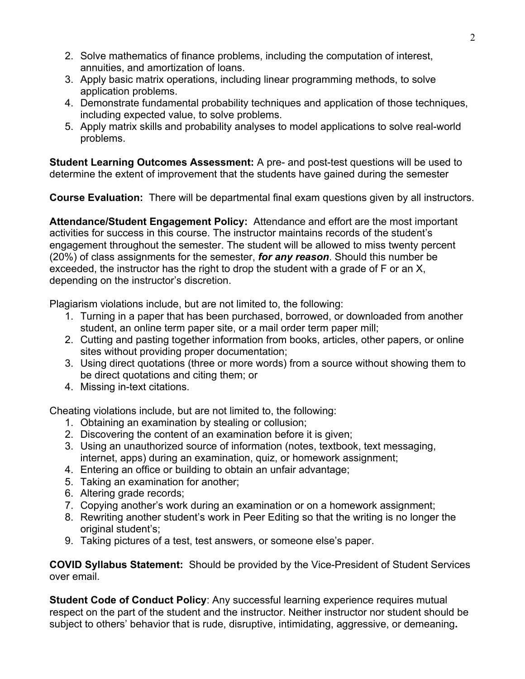- 2. Solve mathematics of finance problems, including the computation of interest, annuities, and amortization of loans.
- 3. Apply basic matrix operations, including linear programming methods, to solve application problems.
- 4. Demonstrate fundamental probability techniques and application of those techniques, including expected value, to solve problems.
- 5. Apply matrix skills and probability analyses to model applications to solve real-world problems.

**Student Learning Outcomes Assessment:** A pre- and post-test questions will be used to determine the extent of improvement that the students have gained during the semester

**Course Evaluation:** There will be departmental final exam questions given by all instructors.

**Attendance/Student Engagement Policy:** Attendance and effort are the most important activities for success in this course. The instructor maintains records of the student's engagement throughout the semester. The student will be allowed to miss twenty percent (20%) of class assignments for the semester, *for any reason*. Should this number be exceeded, the instructor has the right to drop the student with a grade of F or an X, depending on the instructor's discretion.

Plagiarism violations include, but are not limited to, the following:

- 1. Turning in a paper that has been purchased, borrowed, or downloaded from another student, an online term paper site, or a mail order term paper mill;
- 2. Cutting and pasting together information from books, articles, other papers, or online sites without providing proper documentation;
- 3. Using direct quotations (three or more words) from a source without showing them to be direct quotations and citing them; or
- 4. Missing in-text citations.

Cheating violations include, but are not limited to, the following:

- 1. Obtaining an examination by stealing or collusion;
- 2. Discovering the content of an examination before it is given;
- 3. Using an unauthorized source of information (notes, textbook, text messaging, internet, apps) during an examination, quiz, or homework assignment;
- 4. Entering an office or building to obtain an unfair advantage;
- 5. Taking an examination for another;
- 6. Altering grade records;
- 7. Copying another's work during an examination or on a homework assignment;
- 8. Rewriting another student's work in Peer Editing so that the writing is no longer the original student's:
- 9. Taking pictures of a test, test answers, or someone else's paper.

**COVID Syllabus Statement:** Should be provided by the Vice-President of Student Services over email.

**Student Code of Conduct Policy**: Any successful learning experience requires mutual respect on the part of the student and the instructor. Neither instructor nor student should be subject to others' behavior that is rude, disruptive, intimidating, aggressive, or demeaning**.**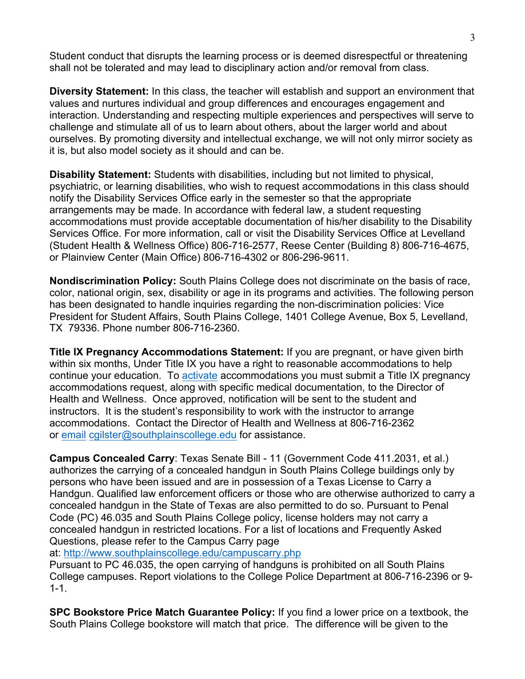Student conduct that disrupts the learning process or is deemed disrespectful or threatening shall not be tolerated and may lead to disciplinary action and/or removal from class.

**Diversity Statement:** In this class, the teacher will establish and support an environment that values and nurtures individual and group differences and encourages engagement and interaction. Understanding and respecting multiple experiences and perspectives will serve to challenge and stimulate all of us to learn about others, about the larger world and about ourselves. By promoting diversity and intellectual exchange, we will not only mirror society as it is, but also model society as it should and can be.

**Disability Statement:** Students with disabilities, including but not limited to physical, psychiatric, or learning disabilities, who wish to request accommodations in this class should notify the Disability Services Office early in the semester so that the appropriate arrangements may be made. In accordance with federal law, a student requesting accommodations must provide acceptable documentation of his/her disability to the Disability Services Office. For more information, call or visit the Disability Services Office at Levelland (Student Health & Wellness Office) 806-716-2577, Reese Center (Building 8) 806-716-4675, or Plainview Center (Main Office) 806-716-4302 or 806-296-9611.

**Nondiscrimination Policy:** South Plains College does not discriminate on the basis of race, color, national origin, sex, disability or age in its programs and activities. The following person has been designated to handle inquiries regarding the non-discrimination policies: Vice President for Student Affairs, South Plains College, 1401 College Avenue, Box 5, Levelland, TX 79336. Phone number 806-716-2360.

**Title IX Pregnancy Accommodations Statement:** If you are pregnant, or have given birth within six months, Under Title IX you have a right to reasonable accommodations to help continue your education. To **activate** accommodations you must submit a Title IX pregnancy accommodations request, along with specific medical documentation, to the Director of Health and Wellness. Once approved, notification will be sent to the student and instructors. It is the student's responsibility to work with the instructor to arrange accommodations. Contact the Director of Health and Wellness at 806-716-2362 or email cgilster@southplainscollege.edu for assistance.

**Campus Concealed Carry**: Texas Senate Bill - 11 (Government Code 411.2031, et al.) authorizes the carrying of a concealed handgun in South Plains College buildings only by persons who have been issued and are in possession of a Texas License to Carry a Handgun. Qualified law enforcement officers or those who are otherwise authorized to carry a concealed handgun in the State of Texas are also permitted to do so. Pursuant to Penal Code (PC) 46.035 and South Plains College policy, license holders may not carry a concealed handgun in restricted locations. For a list of locations and Frequently Asked Questions, please refer to the Campus Carry page

at: http://www.southplainscollege.edu/campuscarry.php

Pursuant to PC 46.035, the open carrying of handguns is prohibited on all South Plains College campuses. Report violations to the College Police Department at 806-716-2396 or 9- 1-1.

**SPC Bookstore Price Match Guarantee Policy:** If you find a lower price on a textbook, the South Plains College bookstore will match that price. The difference will be given to the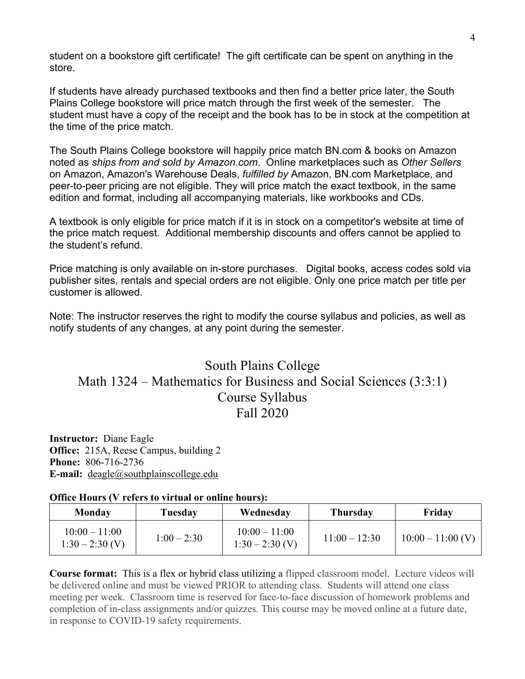student on a bookstore gift certificate! The gift certificate can be spent on anything in the store.

If students have already purchased textbooks and then find a better price later, the South Plains College bookstore will price match through the first week of the semester. The student must have a copy of the receipt and the book has to be in stock at the competition at the time of the price match.

The South Plains College bookstore will happily price match BN.com & books on Amazon noted as *ships from and sold by Amazon.com*. Online marketplaces such as *Other Sellers* on Amazon, Amazon's Warehouse Deals, *fulfilled by* Amazon, BN.com Marketplace, and peer-to-peer pricing are not eligible. They will price match the exact textbook, in the same edition and format, including all accompanying materials, like workbooks and CDs.

A textbook is only eligible for price match if it is in stock on a competitor's website at time of the price match request. Additional membership discounts and offers cannot be applied to the student's refund.

Price matching is only available on in-store purchases. Digital books, access codes sold via publisher sites, rentals and special orders are not eligible. Only one price match per title per customer is allowed.

Note: The instructor reserves the right to modify the course syllabus and policies, as well as notify students of any changes, at any point during the semester.

# South Plains College Math 1324 – Mathematics for Business and Social Sciences (3:3:1) Course Syllabus Fall 2020

**Instructor:** Diane Eagle **Office:** 215A, Reese Campus, building 2 **Phone:** 806-716-2736 **E-mail:** deagle@southplainscollege.edu

#### **Office Hours (V refers to virtual or online hours):**

| Monday                               | Tuesdav       | Wednesday                            | <b>Thursday</b> | Friday              |
|--------------------------------------|---------------|--------------------------------------|-----------------|---------------------|
| $10:00 - 11:00$<br>$1:30 - 2:30$ (V) | $1:00 - 2:30$ | $10:00 - 11:00$<br>$1:30 - 2:30$ (V) | $11:00 - 12:30$ | $10:00 - 11:00$ (V) |

**Course format:** This is a flex or hybrid class utilizing a flipped classroom model. Lecture videos will be delivered online and must be viewed PRIOR to attending class. Students will attend one class meeting per week. Classroom time is reserved for face-to-face discussion of homework problems and completion of in-class assignments and/or quizzes. This course may be moved online at a future date, in response to COVID-19 safety requirements.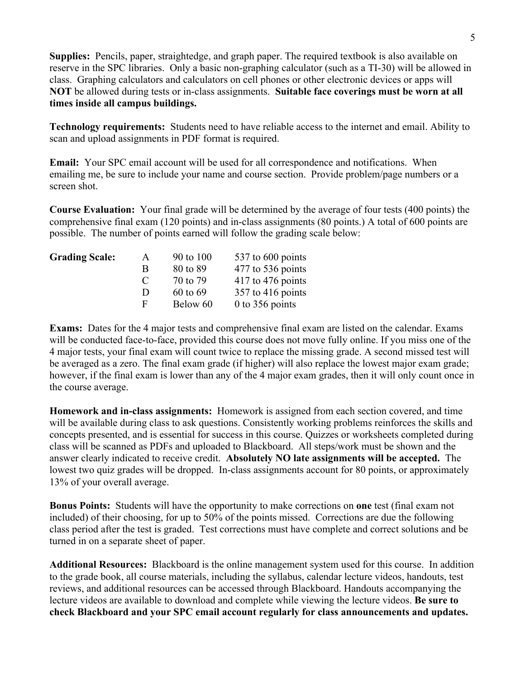**Supplies:** Pencils, paper, straightedge, and graph paper. The required textbook is also available on reserve in the SPC libraries. Only a basic non-graphing calculator (such as a TI-30) will be allowed in class.Graphing calculators and calculators on cell phones or other electronic devices or apps will **NOT** be allowed during tests or in-class assignments. **Suitable face coverings must be worn at all times inside all campus buildings.**

**Technology requirements:** Students need to have reliable access to the internet and email. Ability to scan and upload assignments in PDF format is required.

**Email:** Your SPC email account will be used for all correspondence and notifications. When emailing me, be sure to include your name and course section. Provide problem/page numbers or a screen shot.

**Course Evaluation:** Your final grade will be determined by the average of four tests (400 points) the comprehensive final exam (120 points) and in-class assignments (80 points.) A total of 600 points are possible. The number of points earned will follow the grading scale below:

| <b>Grading Scale:</b> | A             | 90 to 100 | 537 to 600 points   |
|-----------------------|---------------|-----------|---------------------|
|                       | R             | 80 to 89  | 477 to 536 points   |
|                       | $\mathcal{L}$ | 70 to 79  | $417$ to 476 points |
|                       | Ð             | 60 to 69  | $357$ to 416 points |
|                       | E             | Below 60  | $0$ to 356 points   |
|                       |               |           |                     |

**Exams:** Dates for the 4 major tests and comprehensive final exam are listed on the calendar. Exams will be conducted face-to-face, provided this course does not move fully online. If you miss one of the 4 major tests, your final exam will count twice to replace the missing grade. A second missed test will be averaged as a zero. The final exam grade (if higher) will also replace the lowest major exam grade; however, if the final exam is lower than any of the 4 major exam grades, then it will only count once in the course average.

**Homework and in-class assignments:** Homework is assigned from each section covered, and time will be available during class to ask questions. Consistently working problems reinforces the skills and concepts presented, and is essential for success in this course. Quizzes or worksheets completed during class will be scanned as PDFs and uploaded to Blackboard. All steps/work must be shown and the answer clearly indicated to receive credit. **Absolutely NO late assignments will be accepted.** The lowest two quiz grades will be dropped. In-class assignments account for 80 points, or approximately 13% of your overall average.

**Bonus Points:** Students will have the opportunity to make corrections on **one** test (final exam not included) of their choosing, for up to 50% of the points missed. Corrections are due the following class period after the test is graded. Test corrections must have complete and correct solutions and be turned in on a separate sheet of paper.

**Additional Resources:** Blackboard is the online management system used for this course. In addition to the grade book, all course materials, including the syllabus, calendar lecture videos, handouts, test reviews, and additional resources can be accessed through Blackboard. Handouts accompanying the lecture videos are available to download and complete while viewing the lecture videos. **Be sure to check Blackboard and your SPC email account regularly for class announcements and updates.**